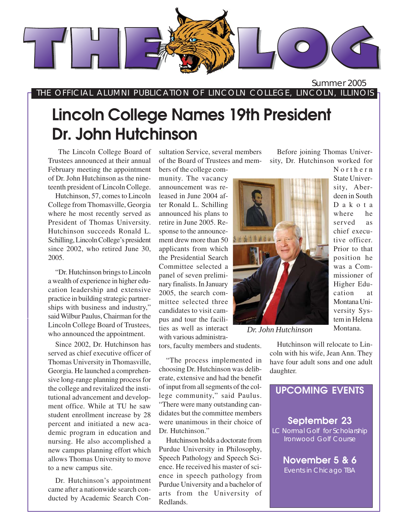

THE OFFICIAL ALUMNI PUBLICATION OF LINCOLN COLLEGE, LINCOLN, ILLINOIS

# **Lincoln College Names 19th President Dr. John Hutchinson**

The Lincoln College Board of Trustees announced at their annual February meeting the appointment of Dr. John Hutchinson as the nineteenth president of Lincoln College.

Hutchinson, 57, comes to Lincoln College from Thomasville, Georgia where he most recently served as President of Thomas University. Hutchinson succeeds Ronald L. Schilling, Lincoln College's president since 2002, who retired June 30, 2005.

"Dr. Hutchinson brings to Lincoln a wealth of experience in higher education leadership and extensive practice in building strategic partnerships with business and industry," said Wilbur Paulus, Chairman for the Lincoln College Board of Trustees, who announced the appointment.

Since 2002, Dr. Hutchinson has served as chief executive officer of Thomas University in Thomasville, Georgia. He launched a comprehensive long-range planning process for the college and revitalized the institutional advancement and development office. While at TU he saw student enrollment increase by 28 percent and initiated a new academic program in education and nursing. He also accomplished a new campus planning effort which allows Thomas University to move to a new campus site.

Dr. Hutchinson's appointment came after a nationwide search conducted by Academic Search Consultation Service, several members of the Board of Trustees and members of the college com-

munity. The vacancy announcement was released in June 2004 after Ronald L. Schilling announced his plans to retire in June 2005. Response to the announcement drew more than 50 applicants from which the Presidential Search Committee selected a panel of seven preliminary finalists. In January 2005, the search committee selected three candidates to visit campus and tour the facilities as well as interact with various administra-

tors, faculty members and students.

"The process implemented in choosing Dr. Hutchinson was deliberate, extensive and had the benefit of input from all segments of the college community," said Paulus. "There were many outstanding candidates but the committee members were unanimous in their choice of Dr. Hutchinson."

Hutchinson holds a doctorate from Purdue University in Philosophy, Speech Pathology and Speech Science. He received his master of science in speech pathology from Purdue University and a bachelor of arts from the University of Redlands.

Before joining Thomas University, Dr. Hutchinson worked for Northern



position he was a Commissioner of Higher Education at Montana University System in Helena Montana.

State University, Aberdeen in South Dakota where he served as chief executive officer. Prior to that

*Dr. John Hutchinson*

have four adult sons and one adult **2005 EVENTS** Hutchinson will relocate to Lincoln with his wife, Jean Ann. They daughter.

### **UPCOMING EVENTS**

### **September 23**

LC Normal Golf for Scholarship Ironwood Golf Course

> **November 5 & 6** Events in Chicago TBA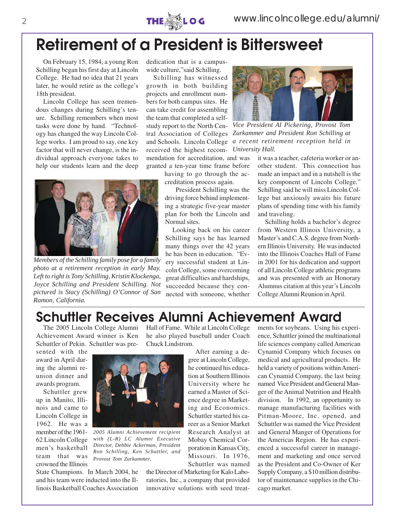

## **Retirement of a President is Bittersweet**

On February 15, 1984, a young Ron Schilling began his first day at Lincoln College. He had no idea that 21 years later, he would retire as the college's 18th president.

Lincoln College has seen tremendous changes during Schilling's tenure. Schilling remembers when most tasks were done by hand. "Technology has changed the way Lincoln College works. I am proud to say, one key factor that will never change, is the individual approach everyone takes to help our students learn and the deep



*Members of the Schilling family pose for a family photo at a retirement reception in early May. Left to right is Tony Schilling, Kristin Klockenga, Joyce Schilling and President Schilling. Not pictured is Stacy (Schilling) O'Connor of San Ramon, California.*

dedication that is a campuswide culture,"said Schilling.

Schilling has witnessed growth in both building projects and enrollment numbers for both campus sites. He can take credit for assembling the team that completed a selfstudy report to the North Central Association of Colleges received the highest recom-*University Hall.* mendation for accreditation, and was granted a ten-year time frame before

> having to go through the accreditation process again.

 President Schilling was the driving force behind implementing a strategic five-year master plan for both the Lincoln and Normal sites.

Looking back on his career Schilling says he has learned many things over the 42 years he has been in education. "Every successful student at Lincoln College, some overcoming great difficulties and hardships, succeeded because they connected with someone, whether



and Schools. Lincoln College *a recent retirement reception held in Vice President Al Pickering, Provost Tom Zurkammer and President Ron Schilling at*

it was a teacher, cafeteria worker or another student. This connection has made an impact and in a nutshell is the key component of Lincoln College." Schilling said he will miss Lincoln College but anxiously awaits his future plans of spending time with his family and traveling.

Schilling holds a bachelor's degree from Western Illinois University, a Master's and C.A.S. degree from Northern Illinois University. He was inducted into the Illinois Coaches Hall of Fame in 2001 for his dedication and support of all Lincoln College athletic programs and was presented with an Honorary Alumnus citation at this year's Lincoln College Alumni Reunion in April.

## **Schuttler Receives Alumni Achievement Award**

The 2005 Lincoln College Alumni Achievement Award winner is Ken Schuttler of Pekin. Schuttler was pre-

State Champions. In March 2004, he and his team were inducted into the Illinois Basketball Coaches Association

*2005 Alumni Achievement recipient with (L-R) LC Alumni Executive Director, Debbie Ackerman, President Ron Schilling, Ken Schuttler, and*

*Provost Tom Zurkammer.*

sented with the award in April during the alumni reunion dinner and awards program.

Schuttler grew up in Manito, Illinois and came to Lincoln College in 1962. He was a member of the 1961- 62 Lincoln College men's basketball team that was crowned the Illinois

Hall of Fame. While at Lincoln College he also played baseball under Coach Chuck Lindstrom.

After earning a degree at Lincoln College, he continued his education at Southern Illinois University where he earned a Master of Science degree in Marketing and Economics. Schuttler started his career as a Senior Market Research Analyst at Mobay Chemical Corporation in Kansas City, Missouri. In 1976, Schuttler was named

the Director of Marketing for Kalo Laboratories, Inc., a company that provided innovative solutions with seed treatments for soybeans. Using his experience, Schuttler joined the multinational life sciences company called American Cynamid Company which focuses on medical and agricultural products. He held a variety of positions within American Cynamid Company, the last being named Vice President and General Manger of the Animal Nutrition and Health division. In 1992, an opportunity to manage manufacturing facilities with Pitman-Moore, Inc. opened, and Schuttler was named the Vice President and General Manger of Operations for the Americas Region. He has experienced a successful career in management and marketing and once served as the President and Co-Owner of Ker Supply Company, a \$10 million distributor of maintenance supplies in the Chicago market.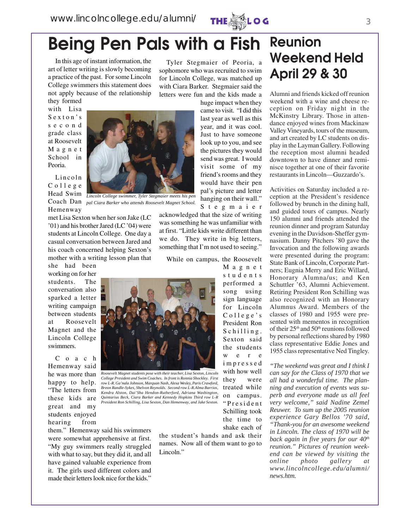

# **Being Pen Pals with a Fish**

In this age of instant information, the art of letter writing is slowly becoming a practice of the past. For some Lincoln College swimmers this statement does not apply because of the relationship they formed

Tyler Stegmaier of Peoria, a sophomore who was recruited to swim for Lincoln College, was matched up with Ciara Barker. Stegmaier said the letters were fun and the kids made a

> huge impact when they came to visit. "I did this last year as well as this year, and it was cool. Just to have someone look up to you, and see the pictures they would send was great. I would visit some of my friend's rooms and they would have their pen pal's picture and letter hanging on their wall."

with Lisa Sexton's second grade class at Roosevelt Magnet School in Peoria.

Lincoln College Head Swim Hemenway



Coach Dan *pal Ciara Barker who attends Roosevelt Magnet School.*

met Lisa Sexton when her son Jake (LC '01) and his brother Jared (LC '04) were students at Lincoln College. One day a casual conversation between Jared and his coach concerned helping Sexton's mother with a writing lesson plan that she had been

working on for her students. The conversation also sparked a letter writing campaign between students at Roosevelt Magnet and the Lincoln College swimmers.

C o a c h Hemenway said he was more than happy to help. "The letters from these kids are great and my students enjoyed hearing from

Stegmaier acknowledged that the size of writing was something he was unfamiliar with at first. "Little kids write different than we do. They write in big letters, something that I'm not used to seeing."

While on campus, the Roosevelt

Magnet students performed a song using sign language for Lincoln College's President Ron Schilling. Sexton said the students we re impressed with how well they were treated while on campus. "President Schilling took the time to shake each of



*Roosevelt Magnet students pose with their teacher, Lisa Sexton, Lincoln College President and Swim Coaches. In front is Ronnia Shockley. First row L-R. Ga'nala Johnson, Marquan Nash, Alexa Wesley, Paris Crawford, Breon Randle-Sykes, Shelvon Reynolds. Second row L-R.Alma Barrios, Kendra Alston, Dai'Sha Hendon-Rutherford, Adriana Washington, Quintarius Beck, Ciara Barker and Kennedy Hopkins Third row L-R President Ron Schilling, Lisa Sexton, Dan Hemenway, and Jake Sexton.*

them." Hemenway said his swimmers were somewhat apprehensive at first. "My guy swimmers really struggled with what to say, but they did it, and all have gained valuable experience from it. The girls used different colors and made their letters look nice for the kids."

the student's hands and ask their names. Now all of them want to go to Lincoln."

## **Reunion Weekend Held April 29 & 30**

Alumni and friends kicked off reunion weekend with a wine and cheese reception on Friday night in the McKinstry Library. Those in attendance enjoyed wines from Mackinaw Valley Vineyards, tours of the museum, and art created by LC students on display in the Layman Gallery. Following the reception most alumni headed downtown to have dinner and reminisce together at one of their favorite restaurants in Lincoln—Guzzardo's.

Activities on Saturday included a reception at the President's residence followed by brunch in the dining hall, and guided tours of campus. Nearly 150 alumni and friends attended the reunion dinner and program Saturday evening in the Davidson-Sheffer gymnasium. Danny Pitchers '80 gave the Invocation and the following awards were presented during the program: State Bank of Lincoln, Corporate Partners; Eugnia Merry and Eric Willard, Honorary Alumna/us; and Ken Schuttler '63, Alumni Achievement. Retiring President Ron Schilling was also recognized with an Honorary Alumnus Award. Members of the classes of 1980 and 1955 were presented with mementos in recognition of their 25*th* and 50th reunions followed by personal reflections shared by 1980 class representative Eddie Jones and 1955 class representative Ned Tingley.

*"The weekend was great and I think I can say for the Class of 1970 that we all had a wonderful time. The planning and execution of events was superb and everyone made us all feel very welcome," said Nadine Zemel Reuwer. To sum up the 2005 reunion experience Gary Bellos '70 said, "Thank-you for an awesome weekend in Lincoln. The class of 1970 will be* back again in five years for our  $40<sup>th</sup>$ *reunion." Pictures of reunion weekend can be viewed by visiting the online photo gallery at www.lincolncollege.edu/alumni/ news.htm.*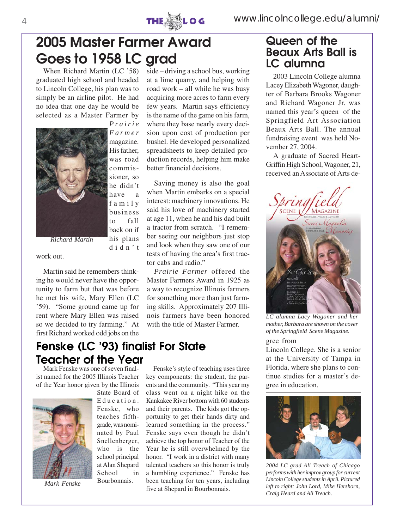

## **2005 Master Farmer Award Goes to 1958 LC grad**

When Richard Martin (LC '58) graduated high school and headed to Lincoln College, his plan was to simply be an airline pilot. He had no idea that one day he would be selected as a Master Farmer by



*Prairie Farmer* magazine. His father, was road commissioner, so he didn't have a family business to fall back on if his plans

didn't

*Richard Martin*

work out.

Martin said he remembers thinking he would never have the opportunity to farm but that was before he met his wife, Mary Ellen (LC '59). "Some ground came up for rent where Mary Ellen was raised so we decided to try farming." At first Richard worked odd jobs on the

### **Fenske (LC '93) finalist For State Teacher of the Year**

Mark Fenske was one of seven finalist named for the 2005 Illinois Teacher of the Year honor given by the Illinois



*Mark Fenske*

State Board of Education. Fenske, who teaches fifthgrade, was nominated by Paul Snellenberger, who is the school principal at Alan Shepard School in Bourbonnais.

side – driving a school bus, working at a lime quarry, and helping with road work – all while he was busy acquiring more acres to farm every few years. Martin says efficiency is the name of the game on his farm, where they base nearly every decision upon cost of production per bushel. He developed personalized spreadsheets to keep detailed production records, helping him make better financial decisions.

Saving money is also the goal when Martin embarks on a special interest: machinery innovations. He said his love of machinery started at age 11, when he and his dad built a tractor from scratch. "I remember seeing our neighbors just stop and look when they saw one of our tests of having the area's first tractor cabs and radio."

*Prairie Farmer* offered the Master Farmers Award in 1925 as a way to recognize Illinois farmers for something more than just farming skills. Approximately 207 Illinois farmers have been honored with the title of Master Farmer.

Fenske's style of teaching uses three key components: the student, the parents and the community. "This year my class went on a night hike on the Kankakee River bottom with 60 students and their parents. The kids got the opportunity to get their hands dirty and learned something in the process." Fenske says even though he didn't achieve the top honor of Teacher of the Year he is still overwhelmed by the honor. "I work in a district with many talented teachers so this honor is truly a humbling experience." Fenske has been teaching for ten years, including five at Shepard in Bourbonnais.

### **Queen of the Beaux Arts Ball is LC alumna**

2003 Lincoln College alumna Lacey Elizabeth Wagoner, daughter of Barbara Brooks Wagoner and Richard Wagoner Jr. was named this year's queen of the Springfield Art Association Beaux Arts Ball. The annual fundraising event was held November 27, 2004.

A graduate of Sacred Heart-Griffin High School, Wagoner, 21, received an Associate of Arts de-



*LC alumna Lacy Wagoner and her mother, Barbara are shown on the cover of the Springfield Scene Magazine.*

#### gree from

Lincoln College. She is a senior at the University of Tampa in Florida, where she plans to continue studies for a master's degree in education.



*2004 LC grad Ali Treach of Chicago performs with her improv group for current Lincoln College students in April. Pictured left to right: John Lord, Mike Hershorn, Craig Heard and Ali Treach.*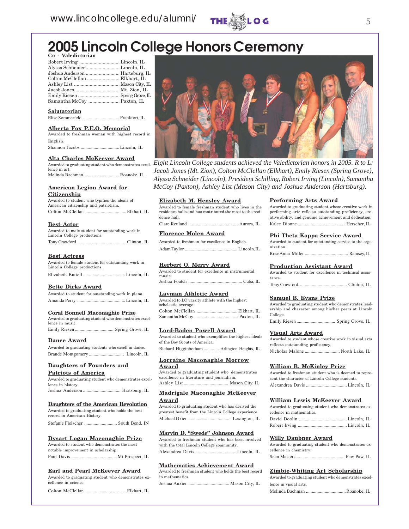

## **2005 Lincoln College Honors Ceremony**

|  | Co - Valedictorian |  |
|--|--------------------|--|
|  | Robert Irving      |  |

| Joshua Anderson  Hartsburg, IL |  |
|--------------------------------|--|
| Colton McClellan  Elkhart, IL  |  |
|                                |  |
|                                |  |
|                                |  |
|                                |  |
|                                |  |

**Salutatorian**

### Elise Sommerfeld ............................... Frankfort, IL

#### **Alberta Fox P.E.O. Memorial**

Awarded to freshman woman with highest record in English. Shannon Jacobs ................................. Lincoln, IL

#### **Alta Charles McKeever Award**

lence in art. Melinda Bachman .............................. Roanoke, IL

#### **American Legion Award for Citizenship**

#### Awarded to student who typifies the ideals of American citizenship and patriotism.

| Thursday characteristic and pactives. |  |  |
|---------------------------------------|--|--|
|                                       |  |  |

#### **Best Actor**

| Awarded to male student for outstanding work in |  |
|-------------------------------------------------|--|
| Lincoln College productions.                    |  |
|                                                 |  |

#### **Best Actress**

| Awarded to female student for outstanding work in<br>Lincoln College productions. |  |
|-----------------------------------------------------------------------------------|--|
|                                                                                   |  |

#### **Bette Dirks Award**

| Awarded to student for outstanding work in piano. |  |
|---------------------------------------------------|--|
|                                                   |  |

#### **Coral Bonnell Maconaghie Prize**

| Awarded to graduating student who demonstrates excel- |  |
|-------------------------------------------------------|--|
| lence in music.                                       |  |
|                                                       |  |

#### **Dance Award**

| Awarded to graduating students who excell in dance. |  |
|-----------------------------------------------------|--|
|                                                     |  |

#### **Daughters of Founders and**

#### **Patriots of America**

| Awarded to graduating student who demonstrates excel- |
|-------------------------------------------------------|
| lence in history.                                     |
|                                                       |

#### **Daughters of the American Revolution**

| Awarded to graduating student who holds the best |
|--------------------------------------------------|
| record in American History.                      |
|                                                  |

#### **Dysart Logan Maconaghie Prize**

| Awarded to student who demonstrates the most |  |
|----------------------------------------------|--|
| notable improvement in scholarship.          |  |
|                                              |  |

#### **Earl and Pearl McKeever Award**

Awarded to graduating student who demonstrates excellence in science

Colton McClellan ................................... Elkhart, IL



Awarded to graduating student who demonstrates excel-*Eight Lincoln College students achieved the Valedictorian honors in 2005. R to L: Jacob Jones (Mt. Zion), Colton McClellan (Elkhart), Emily Riesen (Spring Grove), Alyssa Schneider (Lincoln), President Schilling, Robert Irving (Lincoln), Samantha McCoy (Paxton), Ashley List (Mason City) and Joshua Anderson (Hartsburg).*

#### **Elizabeth M. Hensley Award**

| Awarded to female freshman student who lives in the       |
|-----------------------------------------------------------|
| residence halls and has contributed the most to the resi- |
| dence hall.                                               |
|                                                           |

#### **Florence Molen Award**

Awarded to freshman for excellence in English. Adam Taylor ............................................. Lincoln,IL

#### **Herbert O. Merry Award**

|        |  | Awarded to student for excellence in instrumental |  |  |
|--------|--|---------------------------------------------------|--|--|
| music. |  |                                                   |  |  |
|        |  |                                                   |  |  |

#### **Layman Athletic Award**

| Awarded to LC varsity athlete with the highest |  |
|------------------------------------------------|--|
| scholastic average.                            |  |
|                                                |  |
|                                                |  |

#### **Lord-Baden Powell Award**

Awarded to student who exemplifies the highest ideals of the Boy Scouts of America. Richard Higginbotham ............. Arlington Heights, IL

### **Lorraine Maconaghie Morrow**

**Award** Awarded to graduating student who demonstrates excellence in literature and journalism. Ashley List ...................................... Mason City, IL

#### **Madrigale Maconaghie McKeever Award**

Awarded to graduating student who has derived the greatest benefit from the Lincoln College experience. Michael Oxier ..................................... Lexington, IL

#### **Marvin D. "Swede" Johnson Award**

Awarded to freshman student who has been involved with the total Lincoln College community. Alexandrea Davis ................................... Lincoln, IL

#### **Mathematics Achievement Award**

Awarded to freshman student who holds the best record in mathematics. Joshua Auxier ................................... Mason City, IL

#### **Performing Arts Award**

| Awarded to graduating student whose creative work in   |  |
|--------------------------------------------------------|--|
| performing arts reflects outstanding proficiency, cre- |  |
| ative ability, and genuine achievement and dedication. |  |
|                                                        |  |

#### **Phi Theta Kappa Service Award**

|           | Awarded to student for outstanding service to the orga- |  |  |
|-----------|---------------------------------------------------------|--|--|
| nization. |                                                         |  |  |
|           |                                                         |  |  |

#### **Production Assistant Award**

|        |  |  | Awarded to student for excellence in technical assis- |  |
|--------|--|--|-------------------------------------------------------|--|
| tance. |  |  |                                                       |  |
|        |  |  |                                                       |  |

#### **Samuel B. Evans Prize**

Awarded to graduating student who demonstrates leadership and character among his/her peers at Lincoln College. Emily Riesen ................................. Spring Grove, IL

#### **Visual Arts Award**

Awarded to student whose creative work in visual arts reflects outstanding proficiency.

Nicholas Malone .............................. North Lake, IL

#### **William B. McKinley Prize**

| Awarded to freshman student who is deemed to repre- |
|-----------------------------------------------------|
| sent the character of Lincoln College students.     |
|                                                     |

#### **William Lewis McKeever Award**

| Awarded to graduating student who demonstrates ex- |  |
|----------------------------------------------------|--|
| cellence in mathematics.                           |  |
|                                                    |  |
|                                                    |  |

#### **Willy Daubner Award**

| Awarded to graduating student who demonstrates ex- |  |
|----------------------------------------------------|--|
| cellence in chemistry.                             |  |
|                                                    |  |

#### **Zimbie-Whiting Art Scholarship**

| Awarded to graduating student who demonstrates excel- |
|-------------------------------------------------------|
| lence in visual arts.                                 |
|                                                       |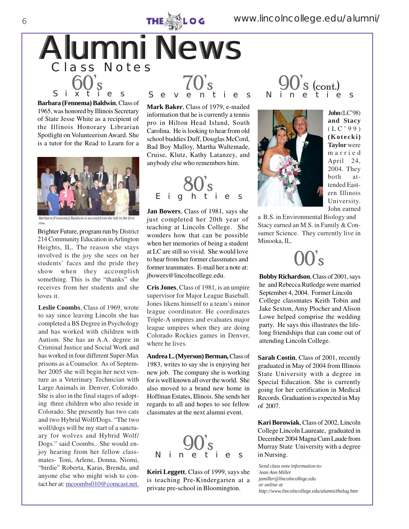

**Barbara (Fennema) Baldwin**, Class of 1965, was honored by Illinois Secretary of State Jesse White as a recipient of the Illinois Honorary Librarian Spotlight on Volunteerism Award. She is a tutor for the Read to Learn for a



*Barbara (Fennema) Baldwin is second from the left in the first row.*

Brighter Future, program run by District 214 Community Education in Arlington Heights, IL. The reason she stays involved is the joy she sees on her students' faces and the pride they show when they accomplish something. This is the "thanks" she receives from her students and she loves it.

**Leslie Coombs**, Class of 1969, wrote to say since leaving Lincoln she has completed a BS Degree in Psychology and has worked with children with Autism. She has an A.A. degree in Criminal Justice and Social Work and has worked in four different Super-Max prisons as a Counselor. As of September 2005 she will begin her next venture as a Veterinary Technician with Large Animals in Denver, Colorado. She is also in the final stages of adopting three children who also reside in Colorado. She presently has two cats and two Hybrid Wolf/Dogs. "The two wolf/dogs will be my start of a sanctuary for wolves and Hybrid Wolf/ Dogs." said Coombs. She would enjoy hearing from her fellow classmates- Toni, Arlene, Donna, Niomi, "birdie" Roberta, Karas, Brenda, and anyone else who might wish to contact her at: mcoombs010@comcast.net.

**Mark Baker**, Class of 1979, e-mailed information that he is currently a tennis pro in Hilton Head Island, South Carolina. He is looking to hear from old school buddies Duff, Douglas McCord, Bad Boy Malloy, Martha Waltemade, Cruise, Klutz, Kathy Latanzey, and anybody else who remembers him.

80's Eighties

**Jan Bowers**, Class of 1981, says she just completed her 20th year of teaching at Lincoln College. She wonders how that can be possible when her memories of being a student at LC are still so vivid. She would love to hear from her former classmates and former teammates. E-mail her a note at: jbowers@lincolncollege.edu. **Bobby Richardson**, Class of 2001, says

**Cris Jones**, Class of 1981, is an umpire supervisor for Major League Baseball. Jones likens himself to a team's minor league coordinator. He coordinates Triple-A umpires and evaluates major league umpires when they are doing Colorado Rockies games in Denver, where he lives.

**Andrea L. (Myerson) Berman,** Class of 1983, writes to say she is enjoying her new job. The company she is working for is well known all over the world. She also moved to a brand new home in Hoffman Estates, Illinois. She sends her regards to all and hopes to see fellow classmates at the next alumni event.



**Keiri Leggett**, Class of 1999, says she is teaching Pre-Kindergarten at a private pre-school in Bloomington.

### $S$  (cont.) Nineties



**John** (LC'98) **and Stacy** (LC'99) **(Kotecki) Taylor** were married April 24, 2004. They both attended Eastern Illinois University. John earned

a B.S. in Environmental Biology and Stacy earned an M.S. in Family & Consumer Science. They currently live in Minooka, IL.

 $\mathbf{I}'_{\mathbf{S}}$ 

he and Rebecca Rutledge were married September 4, 2004. Former Lincoln College classmates Keith Tobin and Jake Sexton, Amy Plocher and Alison Lowe helped comprise the wedding party. He says this illustrates the lifelong friendships that can come out of attending Lincoln College.

**Sarah Costin**, Class of 2001, recently graduated in May of 2004 from Illinois State University with a degree in Special Education. She is currently going for her certification in Medical Records. Graduation is expected in May of 2007.

**Kari Borowiak**, Class of 2002, Lincoln College Lincoln Laureate, graduated in December 2004 Magna Cum Laude from Murray State University with a degree in Nursing.

*Send class note information to: Jean Ann Miller jamiller@lincolncollege.edu or online at http://www.lincolncollege.edu/alumni/thelog.htm*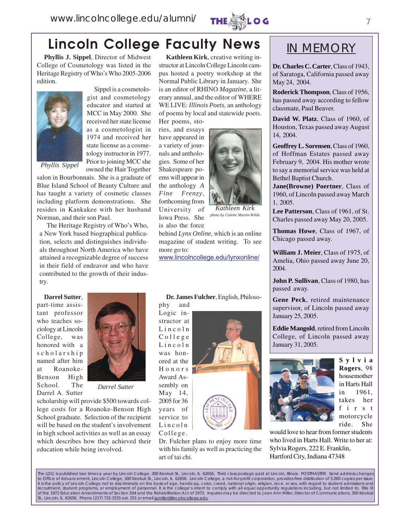

## **Lincoln College Faculty News** NIMEMORY

**Phyllis J. Sippel**, Director of Midwest College of Cosmetology was listed in the Heritage Registry of Who's Who 2005-2006 edition.



Sippel is a cosmetologist and cosmetology educator and started at MCC in May 2000. She received her state license as a cosmetologist in 1974 and received her state license as a cosmetology instructor in 1977. Prior to joining MCC she owned the Hair Together

*Phyllis Sippel*

salon in Bourbonnais. She is a graduate of Blue Island School of Beauty Culture and has taught a variety of cosmetic classes including platform demonstrations. She resides in Kankakee with her husband Norman, and their son Paul.

The Heritage Registry of Who's Who, a New York based biographical publication, selects and distinguishes individuals throughout North America who have attained a recognizable degree of success in their field of endeavor and who have contributed to the growth of their industry.

**Darrel Sutter**, part-time assistant professor who teaches sociology at Lincoln College, was honored with a scholarship named after him at Roanoke-Benson High School. The Darrel A. Sutter



*Darrel Sutter*

scholarship will provide \$500 towards college costs for a Roanoke-Benson High School graduate. Selection of the recipient will be based on the student's involvement in high school activities as well as an essay which describes how they achieved their education while being involved.

**Kathleen Kirk**, creative writing instructor at Lincoln College Lincoln campus hosted a poetry workshop at the Normal Public Library in January. She is an editor of RHINO *Magazine*, a literary annual, and the editor of WHERE WE LIVE: *Illinois Poets*, an anthology of poems by local and statewide poets.

Her poems, stories, and essays have appeared in a variety of journals and anthologies. Some of her Shakespeare poems will appear in the anthology *A Fine Frenzy*, forthcoming from University of Iowa Press. She



*Kathleen Kirk photo by Colette Martin-Wilde*

is also the force behind *Lynx Online*, which is an online magazine of student writing. To see more go to:

www.lincolncollege.edu/lynxonline/

phy and

phy and<br>Logic instructor at<br>Lincoln structor at College Lincoln was honored at the Honors Award Assembly on May 14, 2005 for 36 years of service to Lincoln College.



Dr. Fulcher plans to enjoy more time with his family as well as practicing the art of tai chi.



**Dr. Charles C. Carter**, Class of 1943, of Saratoga, California passed away May 24, 2004.

**Roderick Thompson**, Class of 1956, has passed away according to fellow classmate, Paul Beaver.

**David W. Platz**, Class of 1960, of Houston, Texas passed away August 14, 2004.

**Geoffrey L. Sorensen**, Class of 1960, of Hoffman Estates passed away February 9, 2004. His mother wrote to say a memorial service was held at Bethel Baptist Church.

**Jane(Browne) Poertner**, Class of 1960, of Lincoln passed away March 1, 2005.

**Lee Patterson**, Class of 1961, of St. Charles passed away May 20, 2005.

**Thomas Howe**, Class of 1967, of Chicago passed away.

**William J. Meier**, Class of 1975, of Amelia, Ohio passed away June 20,

**John P. Sullivan**, Class of 1980, has passed away.

**Gene Peck**, retired maintenance supervisor, of Lincoln passed away January 25, 2005.

**Eddie Mangold**, retired from Lincoln College, of Lincoln passed away January 31, 2005.



**Sylvia Rogers**, 98 housemother in Harts Hall in 1961, takes her f i r s t motorcycle ride. She

would love to hear from former students who lived in Harts Hall. Write to her at: Sylvia Rogers, 222 E. Franklin, Hartford City, Indiana 47348

The LOG is published two times a year by Lincoln College, 300 Keokuk St., Lincoln, IL 62656. Third class postage paid at Lincoln, Illinois. POSTMASTER: Send address changes to Office of Advancement, Lincoln College, 300 Keokuk St., Lincoln, IL 62656. Lincoln College, a not-for-profit corporation, provides free distribution of 5,000 copies per issue. It is the policy of Lincoln College not to discriminate on the basis of age, handicap, color, creed, national origin, religion, race, or sex, with regard to student admissions and recruitment, student programs, or employment of personnel. It is the college's intent to comply with all equal opportunity regulations including, but not limited to, Title IX of the 1972 Education Amendments of Section 504 and the Rehabilitation Act of 1973. Inquires may be directed to Jean Ann Miller, Director of Communications, 300 Keokuk St., Lincoln, IL 62656. Phone (217) 732-3155 ext. 251 or email jamiller@lincolncollege.edu.